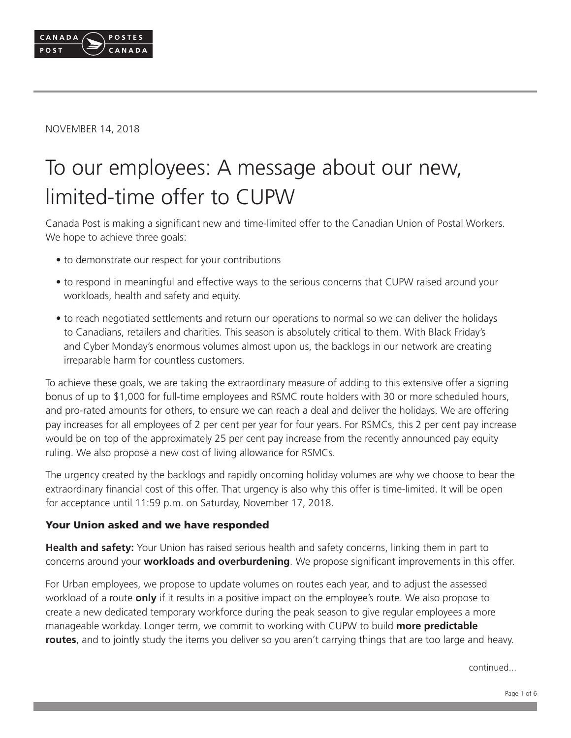

NOVEMBER 14, 2018

# To our employees: A message about our new, limited-time offer to CUPW

Canada Post is making a significant new and time-limited offer to the Canadian Union of Postal Workers. We hope to achieve three goals:

- to demonstrate our respect for your contributions
- to respond in meaningful and effective ways to the serious concerns that CUPW raised around your workloads, health and safety and equity.
- to reach negotiated settlements and return our operations to normal so we can deliver the holidays to Canadians, retailers and charities. This season is absolutely critical to them. With Black Friday's and Cyber Monday's enormous volumes almost upon us, the backlogs in our network are creating irreparable harm for countless customers.

To achieve these goals, we are taking the extraordinary measure of adding to this extensive offer a signing bonus of up to \$1,000 for full-time employees and RSMC route holders with 30 or more scheduled hours, and pro-rated amounts for others, to ensure we can reach a deal and deliver the holidays. We are offering pay increases for all employees of 2 per cent per year for four years. For RSMCs, this 2 per cent pay increase would be on top of the approximately 25 per cent pay increase from the recently announced pay equity ruling. We also propose a new cost of living allowance for RSMCs.

The urgency created by the backlogs and rapidly oncoming holiday volumes are why we choose to bear the extraordinary financial cost of this offer. That urgency is also why this offer is time-limited. It will be open for acceptance until 11:59 p.m. on Saturday, November 17, 2018.

#### Your Union asked and we have responded

**Health and safety:** Your Union has raised serious health and safety concerns, linking them in part to concerns around your **workloads and overburdening**. We propose significant improvements in this offer.

For Urban employees, we propose to update volumes on routes each year, and to adjust the assessed workload of a route **only** if it results in a positive impact on the employee's route. We also propose to create a new dedicated temporary workforce during the peak season to give regular employees a more manageable workday. Longer term, we commit to working with CUPW to build **more predictable routes**, and to jointly study the items you deliver so you aren't carrying things that are too large and heavy.

continued...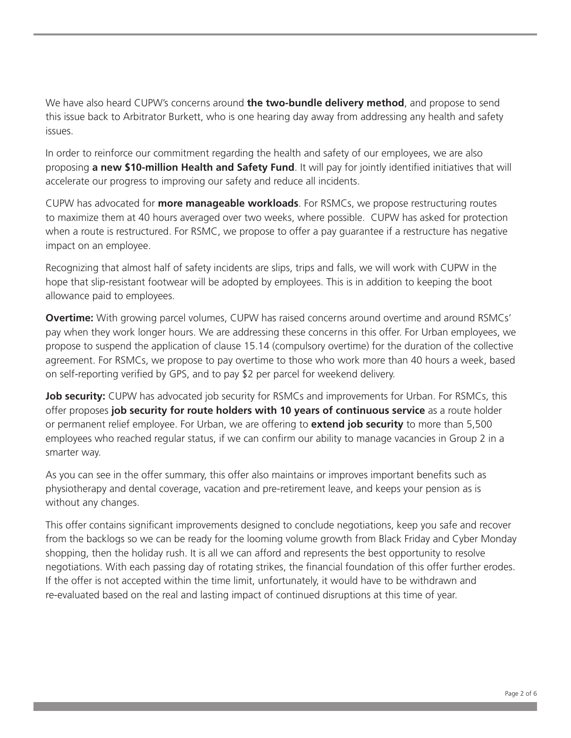We have also heard CUPW's concerns around **the two-bundle delivery method**, and propose to send this issue back to Arbitrator Burkett, who is one hearing day away from addressing any health and safety issues.

In order to reinforce our commitment regarding the health and safety of our employees, we are also proposing **a new \$10-million Health and Safety Fund**. It will pay for jointly identified initiatives that will accelerate our progress to improving our safety and reduce all incidents.

CUPW has advocated for **more manageable workloads**. For RSMCs, we propose restructuring routes to maximize them at 40 hours averaged over two weeks, where possible. CUPW has asked for protection when a route is restructured. For RSMC, we propose to offer a pay guarantee if a restructure has negative impact on an employee.

Recognizing that almost half of safety incidents are slips, trips and falls, we will work with CUPW in the hope that slip-resistant footwear will be adopted by employees. This is in addition to keeping the boot allowance paid to employees.

**Overtime:** With growing parcel volumes, CUPW has raised concerns around overtime and around RSMCs' pay when they work longer hours. We are addressing these concerns in this offer. For Urban employees, we propose to suspend the application of clause 15.14 (compulsory overtime) for the duration of the collective agreement. For RSMCs, we propose to pay overtime to those who work more than 40 hours a week, based on self-reporting verified by GPS, and to pay \$2 per parcel for weekend delivery.

**Job security:** CUPW has advocated job security for RSMCs and improvements for Urban. For RSMCs, this offer proposes **job security for route holders with 10 years of continuous service** as a route holder or permanent relief employee. For Urban, we are offering to **extend job security** to more than 5,500 employees who reached regular status, if we can confirm our ability to manage vacancies in Group 2 in a smarter way.

As you can see in the offer summary, this offer also maintains or improves important benefits such as physiotherapy and dental coverage, vacation and pre-retirement leave, and keeps your pension as is without any changes.

This offer contains significant improvements designed to conclude negotiations, keep you safe and recover from the backlogs so we can be ready for the looming volume growth from Black Friday and Cyber Monday shopping, then the holiday rush. It is all we can afford and represents the best opportunity to resolve negotiations. With each passing day of rotating strikes, the financial foundation of this offer further erodes. If the offer is not accepted within the time limit, unfortunately, it would have to be withdrawn and re-evaluated based on the real and lasting impact of continued disruptions at this time of year.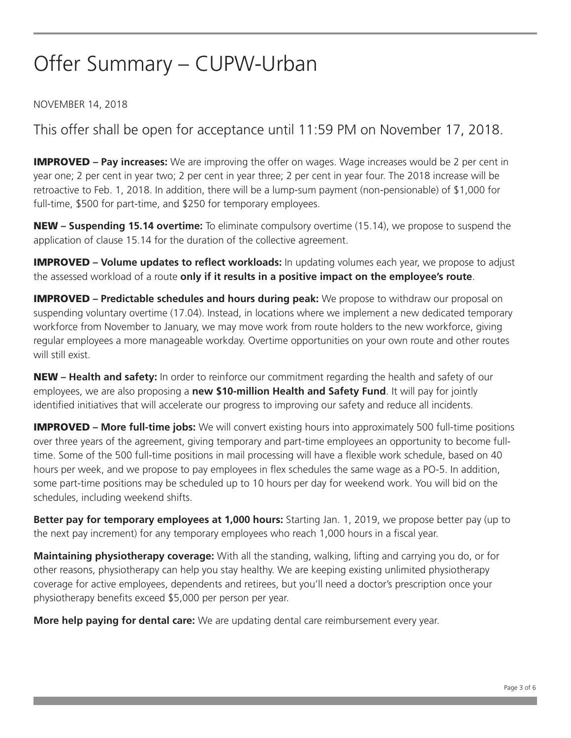### Offer Summary – CUPW-Urban

#### NOVEMBER 14, 2018

This offer shall be open for acceptance until 11:59 PM on November 17, 2018.

IMPROVED **– Pay increases:** We are improving the offer on wages. Wage increases would be 2 per cent in year one; 2 per cent in year two; 2 per cent in year three; 2 per cent in year four. The 2018 increase will be retroactive to Feb. 1, 2018. In addition, there will be a lump-sum payment (non-pensionable) of \$1,000 for full-time, \$500 for part-time, and \$250 for temporary employees.

NEW **– Suspending 15.14 overtime:** To eliminate compulsory overtime (15.14), we propose to suspend the application of clause 15.14 for the duration of the collective agreement.

IMPROVED **– Volume updates to reflect workloads:** In updating volumes each year, we propose to adjust the assessed workload of a route **only if it results in a positive impact on the employee's route**.

**IMPROVED** – Predictable schedules and hours during peak: We propose to withdraw our proposal on suspending voluntary overtime (17.04). Instead, in locations where we implement a new dedicated temporary workforce from November to January, we may move work from route holders to the new workforce, giving regular employees a more manageable workday. Overtime opportunities on your own route and other routes will still exist.

NEW **– Health and safety:** In order to reinforce our commitment regarding the health and safety of our employees, we are also proposing a **new \$10-million Health and Safety Fund**. It will pay for jointly identified initiatives that will accelerate our progress to improving our safety and reduce all incidents.

IMPROVED **– More full-time jobs:** We will convert existing hours into approximately 500 full-time positions over three years of the agreement, giving temporary and part-time employees an opportunity to become fulltime. Some of the 500 full-time positions in mail processing will have a flexible work schedule, based on 40 hours per week, and we propose to pay employees in flex schedules the same wage as a PO-5. In addition, some part-time positions may be scheduled up to 10 hours per day for weekend work. You will bid on the schedules, including weekend shifts.

**Better pay for temporary employees at 1,000 hours:** Starting Jan. 1, 2019, we propose better pay (up to the next pay increment) for any temporary employees who reach 1,000 hours in a fiscal year.

**Maintaining physiotherapy coverage:** With all the standing, walking, lifting and carrying you do, or for other reasons, physiotherapy can help you stay healthy. We are keeping existing unlimited physiotherapy coverage for active employees, dependents and retirees, but you'll need a doctor's prescription once your physiotherapy benefits exceed \$5,000 per person per year.

**More help paying for dental care:** We are updating dental care reimbursement every year.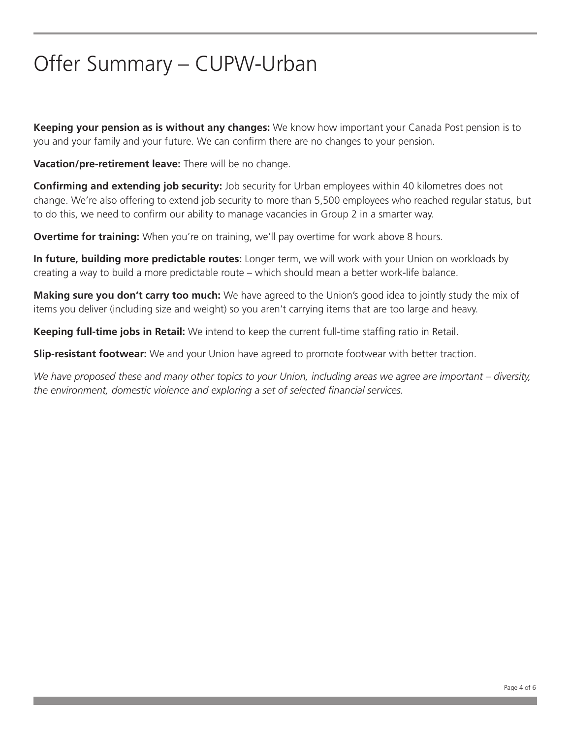# Offer Summary – CUPW-Urban

**Keeping your pension as is without any changes:** We know how important your Canada Post pension is to you and your family and your future. We can confirm there are no changes to your pension.

**Vacation/pre-retirement leave:** There will be no change.

**Confirming and extending job security:** Job security for Urban employees within 40 kilometres does not change. We're also offering to extend job security to more than 5,500 employees who reached regular status, but to do this, we need to confirm our ability to manage vacancies in Group 2 in a smarter way.

**Overtime for training:** When you're on training, we'll pay overtime for work above 8 hours.

**In future, building more predictable routes:** Longer term, we will work with your Union on workloads by creating a way to build a more predictable route – which should mean a better work-life balance.

**Making sure you don't carry too much:** We have agreed to the Union's good idea to jointly study the mix of items you deliver (including size and weight) so you aren't carrying items that are too large and heavy.

**Keeping full-time jobs in Retail:** We intend to keep the current full-time staffing ratio in Retail.

**Slip-resistant footwear:** We and your Union have agreed to promote footwear with better traction.

*We have proposed these and many other topics to your Union, including areas we agree are important – diversity, the environment, domestic violence and exploring a set of selected financial services.*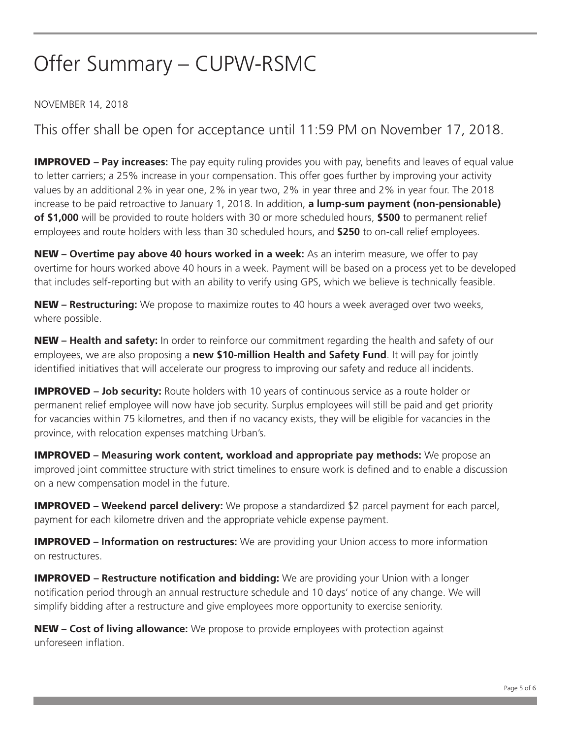# Offer Summary – CUPW-RSMC

#### NOVEMBER 14, 2018

This offer shall be open for acceptance until 11:59 PM on November 17, 2018.

IMPROVED **– Pay increases:** The pay equity ruling provides you with pay, benefits and leaves of equal value to letter carriers; a 25% increase in your compensation. This offer goes further by improving your activity values by an additional 2% in year one, 2% in year two, 2% in year three and 2% in year four. The 2018 increase to be paid retroactive to January 1, 2018. In addition, **a lump-sum payment (non-pensionable) of \$1,000** will be provided to route holders with 30 or more scheduled hours, **\$500** to permanent relief employees and route holders with less than 30 scheduled hours, and **\$250** to on-call relief employees.

NEW **– Overtime pay above 40 hours worked in a week:** As an interim measure, we offer to pay overtime for hours worked above 40 hours in a week. Payment will be based on a process yet to be developed that includes self-reporting but with an ability to verify using GPS, which we believe is technically feasible.

NEW **– Restructuring:** We propose to maximize routes to 40 hours a week averaged over two weeks, where possible.

NEW **– Health and safety:** In order to reinforce our commitment regarding the health and safety of our employees, we are also proposing a **new \$10-million Health and Safety Fund**. It will pay for jointly identified initiatives that will accelerate our progress to improving our safety and reduce all incidents.

**IMPROVED – Job security:** Route holders with 10 years of continuous service as a route holder or permanent relief employee will now have job security. Surplus employees will still be paid and get priority for vacancies within 75 kilometres, and then if no vacancy exists, they will be eligible for vacancies in the province, with relocation expenses matching Urban's.

**IMPROVED** – Measuring work content, workload and appropriate pay methods: We propose an improved joint committee structure with strict timelines to ensure work is defined and to enable a discussion on a new compensation model in the future.

IMPROVED **– Weekend parcel delivery:** We propose a standardized \$2 parcel payment for each parcel, payment for each kilometre driven and the appropriate vehicle expense payment.

**IMPROVED** – **Information on restructures:** We are providing your Union access to more information on restructures.

**IMPROVED** – Restructure notification and bidding: We are providing your Union with a longer notification period through an annual restructure schedule and 10 days' notice of any change. We will simplify bidding after a restructure and give employees more opportunity to exercise seniority.

NEW **– Cost of living allowance:** We propose to provide employees with protection against unforeseen inflation.